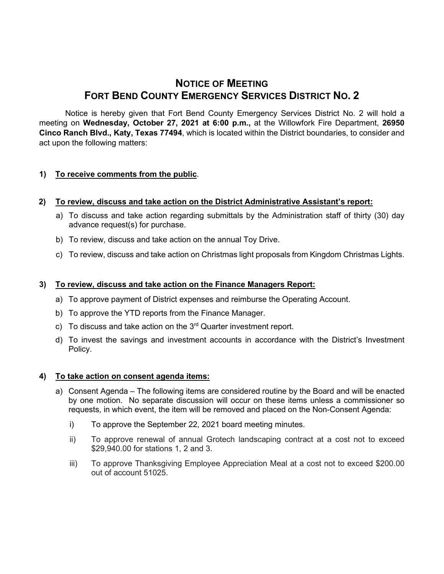# **NOTICE OF MEETING FORT BEND COUNTY EMERGENCY SERVICES DISTRICT NO. 2**

Notice is hereby given that Fort Bend County Emergency Services District No. 2 will hold a meeting on **Wednesday, October 27, 2021 at 6:00 p.m.,** at the Willowfork Fire Department, **26950 Cinco Ranch Blvd., Katy, Texas 77494**, which is located within the District boundaries, to consider and act upon the following matters:

## **1) To receive comments from the public**.

## **2) To review, discuss and take action on the District Administrative Assistant's report:**

- a) To discuss and take action regarding submittals by the Administration staff of thirty (30) day advance request(s) for purchase.
- b) To review, discuss and take action on the annual Toy Drive.
- c) To review, discuss and take action on Christmas light proposals from Kingdom Christmas Lights.

# **3) To review, discuss and take action on the Finance Managers Report:**

- a) To approve payment of District expenses and reimburse the Operating Account.
- b) To approve the YTD reports from the Finance Manager.
- c) To discuss and take action on the  $3<sup>rd</sup>$  Quarter investment report.
- d) To invest the savings and investment accounts in accordance with the District's Investment Policy.

## **4) To take action on consent agenda items:**

- a) Consent Agenda The following items are considered routine by the Board and will be enacted by one motion. No separate discussion will occur on these items unless a commissioner so requests, in which event, the item will be removed and placed on the Non-Consent Agenda:
	- i) To approve the September 22, 2021 board meeting minutes.
	- ii) To approve renewal of annual Grotech landscaping contract at a cost not to exceed \$29,940.00 for stations 1, 2 and 3.
	- iii) To approve Thanksgiving Employee Appreciation Meal at a cost not to exceed \$200.00 out of account 51025.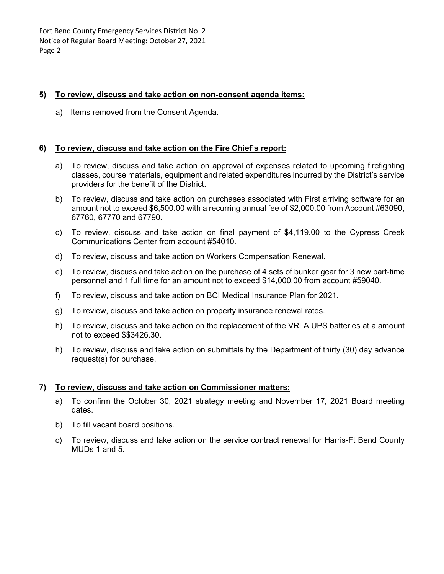Fort Bend County Emergency Services District No. 2 Notice of Regular Board Meeting: October 27, 2021 Page 2

#### **5) To review, discuss and take action on non-consent agenda items:**

a) Items removed from the Consent Agenda.

#### **6) To review, discuss and take action on the Fire Chief's report:**

- a) To review, discuss and take action on approval of expenses related to upcoming firefighting classes, course materials, equipment and related expenditures incurred by the District's service providers for the benefit of the District.
- b) To review, discuss and take action on purchases associated with First arriving software for an amount not to exceed \$6,500.00 with a recurring annual fee of \$2,000.00 from Account #63090, 67760, 67770 and 67790.
- c) To review, discuss and take action on final payment of \$4,119.00 to the Cypress Creek Communications Center from account #54010.
- d) To review, discuss and take action on Workers Compensation Renewal.
- e) To review, discuss and take action on the purchase of 4 sets of bunker gear for 3 new part-time personnel and 1 full time for an amount not to exceed \$14,000.00 from account #59040.
- f) To review, discuss and take action on BCI Medical Insurance Plan for 2021.
- g) To review, discuss and take action on property insurance renewal rates.
- h) To review, discuss and take action on the replacement of the VRLA UPS batteries at a amount not to exceed \$\$3426.30.
- h) To review, discuss and take action on submittals by the Department of thirty (30) day advance request(s) for purchase.

#### **7) To review, discuss and take action on Commissioner matters:**

- a) To confirm the October 30, 2021 strategy meeting and November 17, 2021 Board meeting dates.
- b) To fill vacant board positions.
- c) To review, discuss and take action on the service contract renewal for Harris-Ft Bend County MUDs 1 and 5.